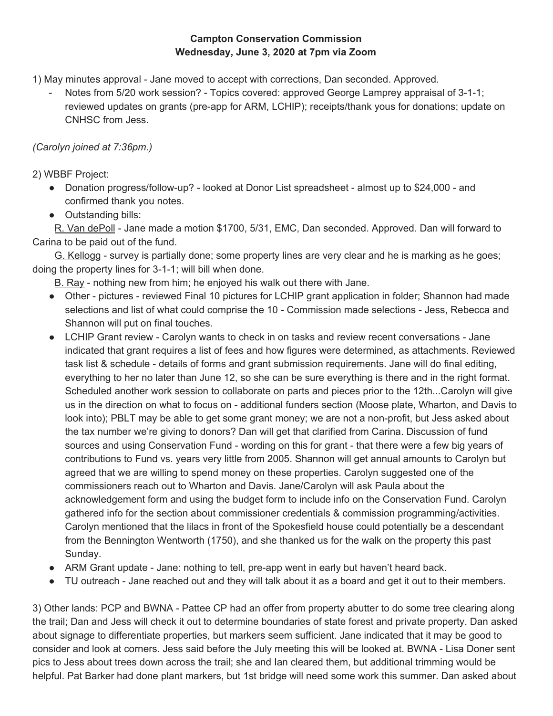## **Campton Conservation Commission Wednesday, June 3, 2020 at 7pm via Zoom**

1) May minutes approval - Jane moved to accept with corrections, Dan seconded. Approved.

Notes from 5/20 work session? - Topics covered: approved George Lamprey appraisal of 3-1-1; reviewed updates on grants (pre-app for ARM, LCHIP); receipts/thank yous for donations; update on CNHSC from Jess.

## *(Carolyn joined at 7:36pm.)*

2) WBBF Project:

- Donation progress/follow-up? looked at Donor List spreadsheet almost up to \$24,000 and confirmed thank you notes.
- Outstanding bills:

R. Van dePoll - Jane made a motion \$1700, 5/31, EMC, Dan seconded. Approved. Dan will forward to Carina to be paid out of the fund.

G. Kellogg - survey is partially done; some property lines are very clear and he is marking as he goes; doing the property lines for 3-1-1; will bill when done.

B. Ray - nothing new from him; he enjoyed his walk out there with Jane.

- Other pictures reviewed Final 10 pictures for LCHIP grant application in folder; Shannon had made selections and list of what could comprise the 10 - Commission made selections - Jess, Rebecca and Shannon will put on final touches.
- LCHIP Grant review Carolyn wants to check in on tasks and review recent conversations Jane indicated that grant requires a list of fees and how figures were determined, as attachments. Reviewed task list & schedule - details of forms and grant submission requirements. Jane will do final editing, everything to her no later than June 12, so she can be sure everything is there and in the right format. Scheduled another work session to collaborate on parts and pieces prior to the 12th...Carolyn will give us in the direction on what to focus on - additional funders section (Moose plate, Wharton, and Davis to look into); PBLT may be able to get some grant money; we are not a non-profit, but Jess asked about the tax number we're giving to donors? Dan will get that clarified from Carina. Discussion of fund sources and using Conservation Fund - wording on this for grant - that there were a few big years of contributions to Fund vs. years very little from 2005. Shannon will get annual amounts to Carolyn but agreed that we are willing to spend money on these properties. Carolyn suggested one of the commissioners reach out to Wharton and Davis. Jane/Carolyn will ask Paula about the acknowledgement form and using the budget form to include info on the Conservation Fund. Carolyn gathered info for the section about commissioner credentials & commission programming/activities. Carolyn mentioned that the lilacs in front of the Spokesfield house could potentially be a descendant from the Bennington Wentworth (1750), and she thanked us for the walk on the property this past Sunday.
- ARM Grant update Jane: nothing to tell, pre-app went in early but haven't heard back.
- TU outreach Jane reached out and they will talk about it as a board and get it out to their members.

3) Other lands: PCP and BWNA - Pattee CP had an offer from property abutter to do some tree clearing along the trail; Dan and Jess will check it out to determine boundaries of state forest and private property. Dan asked about signage to differentiate properties, but markers seem sufficient. Jane indicated that it may be good to consider and look at corners. Jess said before the July meeting this will be looked at. BWNA - Lisa Doner sent pics to Jess about trees down across the trail; she and Ian cleared them, but additional trimming would be helpful. Pat Barker had done plant markers, but 1st bridge will need some work this summer. Dan asked about